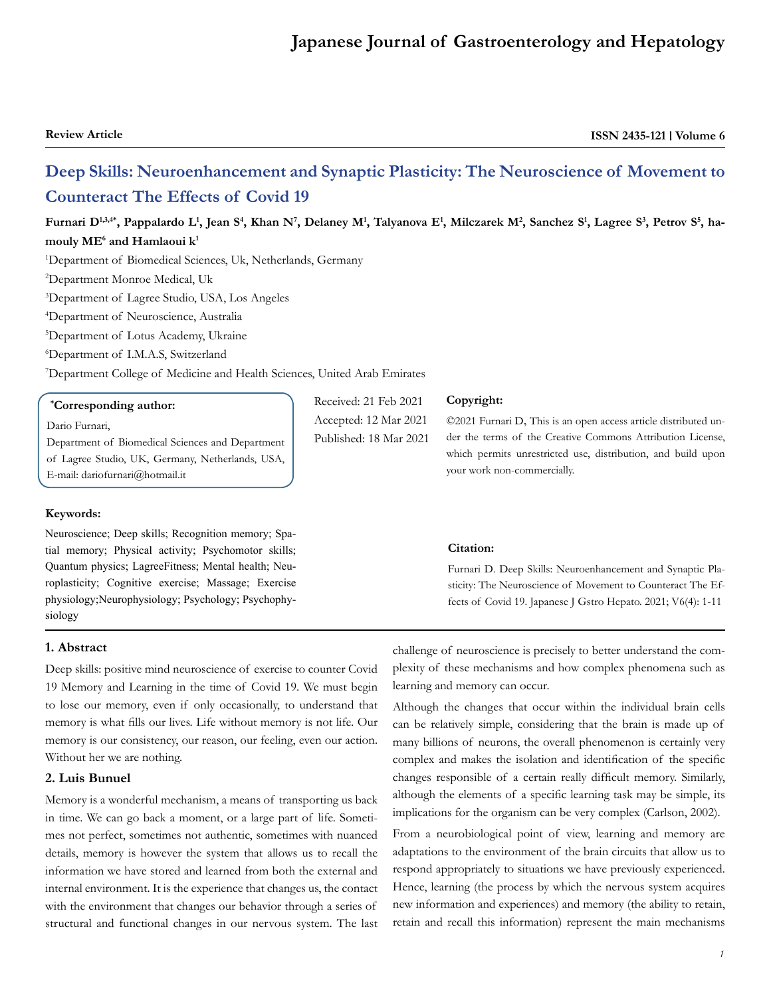# **Japanese Journal of Gastroenterology and Hepatology**

**Review Article ISSN 2435-121 | Volume 6** 

# **Deep Skills: Neuroenhancement and Synaptic Plasticity: The Neuroscience of Movement to Counteract The Effects of Covid 19**

**Furnari D1,3,4\*, Pappalardo L1, Jean S4, Khan N7, Delaney M1, Talyanova E1, Milczarek M2, Sanchez S1, Lagree S3, Petrov S5, hamouly ME6 and Hamlaoui k1**

1 Department of Biomedical Sciences, Uk, Netherlands, Germany

2 Department Monroe Medical, Uk

3 Department of Lagree Studio, USA, Los Angeles

4 Department of Neuroscience, Australia

5 Department of Lotus Academy, Ukraine

6 Department of I.M.A.S, Switzerland

7 Department College of Medicine and Health Sciences, United Arab Emirates

#### **\* Corresponding author:**

#### Dario Furnari,

Department of Biomedical Sciences and Department of Lagree Studio, UK, Germany, Netherlands, USA, E-mail: dariofurnari@hotmail.it

#### **Keywords:**

Neuroscience; Deep skills; Recognition memory; Spatial memory; Physical activity; Psychomotor skills; Quantum physics; LagreeFitness; Mental health; Neuroplasticity; Cognitive exercise; Massage; Exercise physiology;Neurophysiology; Psychology; Psychophysiology

#### **1. Abstract**

Deep skills: positive mind neuroscience of exercise to counter Covid 19 Memory and Learning in the time of Covid 19. We must begin to lose our memory, even if only occasionally, to understand that memory is what fills our lives. Life without memory is not life. Our memory is our consistency, our reason, our feeling, even our action. Without her we are nothing.

# **2. Luis Bunuel**

Memory is a wonderful mechanism, a means of transporting us back in time. We can go back a moment, or a large part of life. Sometimes not perfect, sometimes not authentic, sometimes with nuanced details, memory is however the system that allows us to recall the information we have stored and learned from both the external and internal environment. It is the experience that changes us, the contact with the environment that changes our behavior through a series of structural and functional changes in our nervous system. The last

Received: 21 Feb 2021 Accepted: 12 Mar 2021 Published: 18 Mar 2021

#### **Copyright:**

©2021 Furnari D, This is an open access article distributed under the terms of the Creative Commons Attribution License, which permits unrestricted use, distribution, and build upon your work non-commercially.

#### **Citation:**

Furnari D. Deep Skills: Neuroenhancement and Synaptic Plasticity: The Neuroscience of Movement to Counteract The Effects of Covid 19. Japanese J Gstro Hepato. 2021; V6(4): 1-11

challenge of neuroscience is precisely to better understand the complexity of these mechanisms and how complex phenomena such as learning and memory can occur.

Although the changes that occur within the individual brain cells can be relatively simple, considering that the brain is made up of many billions of neurons, the overall phenomenon is certainly very complex and makes the isolation and identification of the specific changes responsible of a certain really difficult memory. Similarly, although the elements of a specific learning task may be simple, its implications for the organism can be very complex (Carlson, 2002).

From a neurobiological point of view, learning and memory are adaptations to the environment of the brain circuits that allow us to respond appropriately to situations we have previously experienced. Hence, learning (the process by which the nervous system acquires new information and experiences) and memory (the ability to retain, retain and recall this information) represent the main mechanisms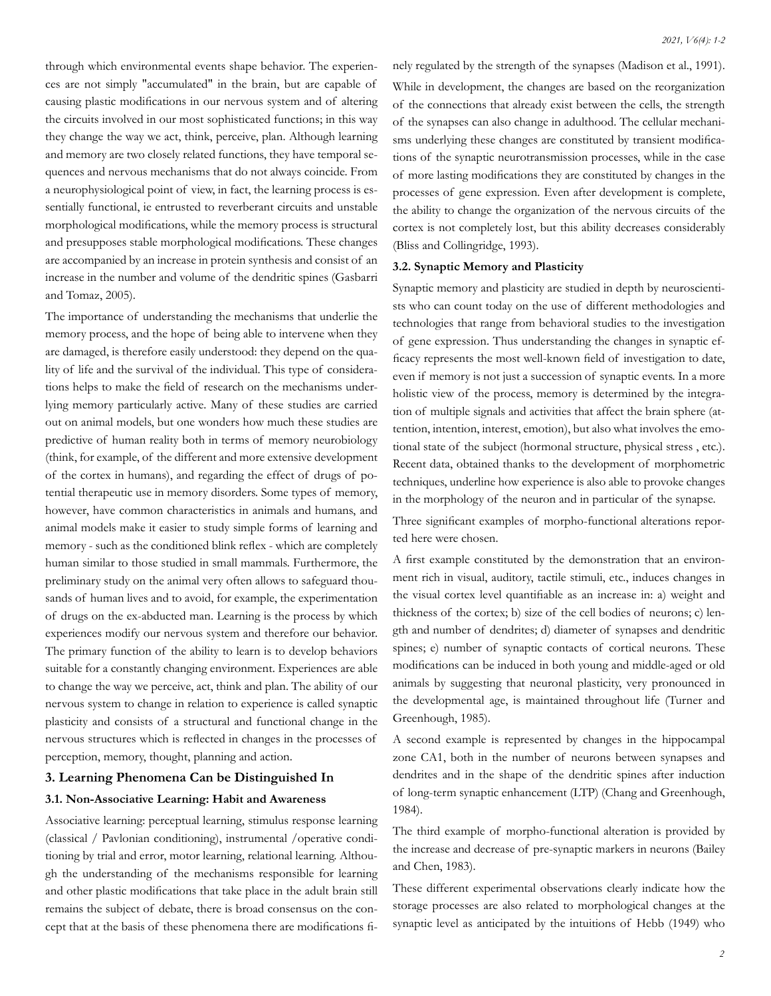through which environmental events shape behavior. The experiences are not simply "accumulated" in the brain, but are capable of causing plastic modifications in our nervous system and of altering the circuits involved in our most sophisticated functions; in this way they change the way we act, think, perceive, plan. Although learning and memory are two closely related functions, they have temporal sequences and nervous mechanisms that do not always coincide. From a neurophysiological point of view, in fact, the learning process is essentially functional, ie entrusted to reverberant circuits and unstable morphological modifications, while the memory process is structural and presupposes stable morphological modifications. These changes are accompanied by an increase in protein synthesis and consist of an increase in the number and volume of the dendritic spines (Gasbarri and Tomaz, 2005).

The importance of understanding the mechanisms that underlie the memory process, and the hope of being able to intervene when they are damaged, is therefore easily understood: they depend on the quality of life and the survival of the individual. This type of considerations helps to make the field of research on the mechanisms underlying memory particularly active. Many of these studies are carried out on animal models, but one wonders how much these studies are predictive of human reality both in terms of memory neurobiology (think, for example, of the different and more extensive development of the cortex in humans), and regarding the effect of drugs of potential therapeutic use in memory disorders. Some types of memory, however, have common characteristics in animals and humans, and animal models make it easier to study simple forms of learning and memory - such as the conditioned blink reflex - which are completely human similar to those studied in small mammals. Furthermore, the preliminary study on the animal very often allows to safeguard thousands of human lives and to avoid, for example, the experimentation of drugs on the ex-abducted man. Learning is the process by which experiences modify our nervous system and therefore our behavior. The primary function of the ability to learn is to develop behaviors suitable for a constantly changing environment. Experiences are able to change the way we perceive, act, think and plan. The ability of our nervous system to change in relation to experience is called synaptic plasticity and consists of a structural and functional change in the nervous structures which is reflected in changes in the processes of perception, memory, thought, planning and action.

### **3. Learning Phenomena Can be Distinguished In**

#### **3.1. Non-Associative Learning: Habit and Awareness**

Associative learning: perceptual learning, stimulus response learning (classical / Pavlonian conditioning), instrumental /operative conditioning by trial and error, motor learning, relational learning. Although the understanding of the mechanisms responsible for learning and other plastic modifications that take place in the adult brain still remains the subject of debate, there is broad consensus on the concept that at the basis of these phenomena there are modifications finely regulated by the strength of the synapses (Madison et al., 1991). While in development, the changes are based on the reorganization of the connections that already exist between the cells, the strength of the synapses can also change in adulthood. The cellular mechanisms underlying these changes are constituted by transient modifications of the synaptic neurotransmission processes, while in the case of more lasting modifications they are constituted by changes in the processes of gene expression. Even after development is complete, the ability to change the organization of the nervous circuits of the cortex is not completely lost, but this ability decreases considerably (Bliss and Collingridge, 1993).

#### **3.2. Synaptic Memory and Plasticity**

Synaptic memory and plasticity are studied in depth by neuroscientists who can count today on the use of different methodologies and technologies that range from behavioral studies to the investigation of gene expression. Thus understanding the changes in synaptic efficacy represents the most well-known field of investigation to date, even if memory is not just a succession of synaptic events. In a more holistic view of the process, memory is determined by the integration of multiple signals and activities that affect the brain sphere (attention, intention, interest, emotion), but also what involves the emotional state of the subject (hormonal structure, physical stress , etc.). Recent data, obtained thanks to the development of morphometric techniques, underline how experience is also able to provoke changes in the morphology of the neuron and in particular of the synapse.

Three significant examples of morpho-functional alterations reported here were chosen.

A first example constituted by the demonstration that an environment rich in visual, auditory, tactile stimuli, etc., induces changes in the visual cortex level quantifiable as an increase in: a) weight and thickness of the cortex; b) size of the cell bodies of neurons; c) length and number of dendrites; d) diameter of synapses and dendritic spines; e) number of synaptic contacts of cortical neurons. These modifications can be induced in both young and middle-aged or old animals by suggesting that neuronal plasticity, very pronounced in the developmental age, is maintained throughout life (Turner and Greenhough, 1985).

A second example is represented by changes in the hippocampal zone CA1, both in the number of neurons between synapses and dendrites and in the shape of the dendritic spines after induction of long-term synaptic enhancement (LTP) (Chang and Greenhough, 1984).

The third example of morpho-functional alteration is provided by the increase and decrease of pre-synaptic markers in neurons (Bailey and Chen, 1983).

These different experimental observations clearly indicate how the storage processes are also related to morphological changes at the synaptic level as anticipated by the intuitions of Hebb (1949) who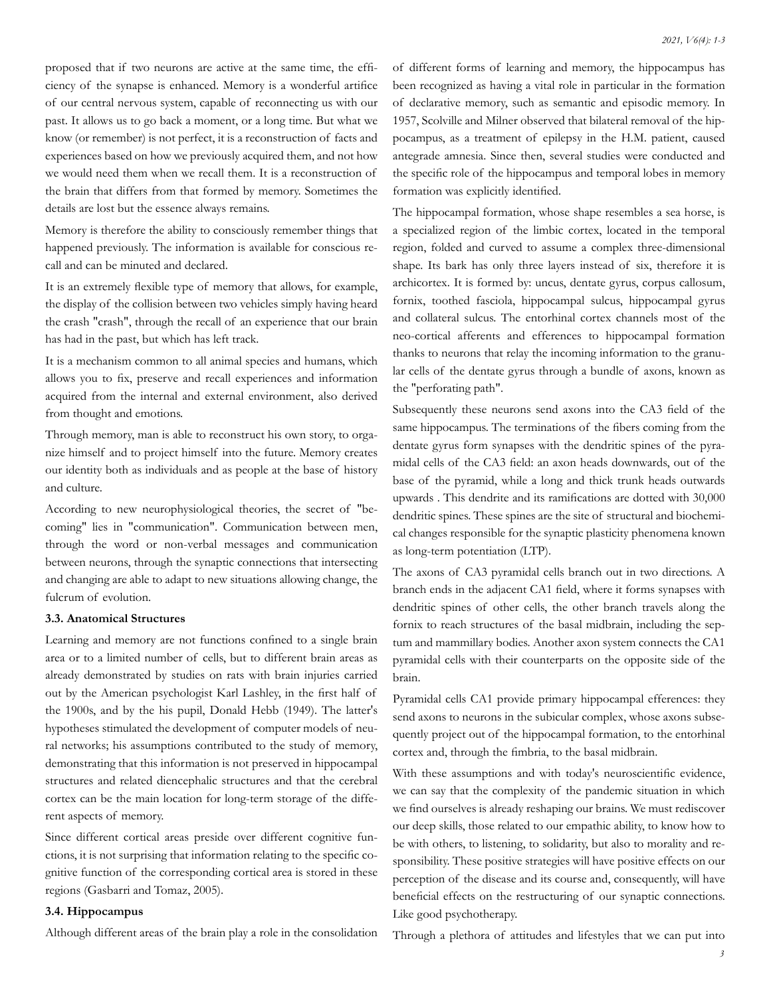proposed that if two neurons are active at the same time, the efficiency of the synapse is enhanced. Memory is a wonderful artifice of our central nervous system, capable of reconnecting us with our past. It allows us to go back a moment, or a long time. But what we know (or remember) is not perfect, it is a reconstruction of facts and experiences based on how we previously acquired them, and not how we would need them when we recall them. It is a reconstruction of the brain that differs from that formed by memory. Sometimes the details are lost but the essence always remains.

Memory is therefore the ability to consciously remember things that happened previously. The information is available for conscious recall and can be minuted and declared.

It is an extremely flexible type of memory that allows, for example, the display of the collision between two vehicles simply having heard the crash "crash", through the recall of an experience that our brain has had in the past, but which has left track.

It is a mechanism common to all animal species and humans, which allows you to fix, preserve and recall experiences and information acquired from the internal and external environment, also derived from thought and emotions.

Through memory, man is able to reconstruct his own story, to organize himself and to project himself into the future. Memory creates our identity both as individuals and as people at the base of history and culture.

According to new neurophysiological theories, the secret of "becoming" lies in "communication". Communication between men, through the word or non-verbal messages and communication between neurons, through the synaptic connections that intersecting and changing are able to adapt to new situations allowing change, the fulcrum of evolution.

#### **3.3. Anatomical Structures**

Learning and memory are not functions confined to a single brain area or to a limited number of cells, but to different brain areas as already demonstrated by studies on rats with brain injuries carried out by the American psychologist Karl Lashley, in the first half of the 1900s, and by the his pupil, Donald Hebb (1949). The latter's hypotheses stimulated the development of computer models of neural networks; his assumptions contributed to the study of memory, demonstrating that this information is not preserved in hippocampal structures and related diencephalic structures and that the cerebral cortex can be the main location for long-term storage of the different aspects of memory.

Since different cortical areas preside over different cognitive functions, it is not surprising that information relating to the specific cognitive function of the corresponding cortical area is stored in these regions (Gasbarri and Tomaz, 2005).

#### **3.4. Hippocampus**

Although different areas of the brain play a role in the consolidation

of different forms of learning and memory, the hippocampus has been recognized as having a vital role in particular in the formation of declarative memory, such as semantic and episodic memory. In 1957, Scolville and Milner observed that bilateral removal of the hippocampus, as a treatment of epilepsy in the H.M. patient, caused antegrade amnesia. Since then, several studies were conducted and the specific role of the hippocampus and temporal lobes in memory formation was explicitly identified.

The hippocampal formation, whose shape resembles a sea horse, is a specialized region of the limbic cortex, located in the temporal region, folded and curved to assume a complex three-dimensional shape. Its bark has only three layers instead of six, therefore it is archicortex. It is formed by: uncus, dentate gyrus, corpus callosum, fornix, toothed fasciola, hippocampal sulcus, hippocampal gyrus and collateral sulcus. The entorhinal cortex channels most of the neo-cortical afferents and efferences to hippocampal formation thanks to neurons that relay the incoming information to the granular cells of the dentate gyrus through a bundle of axons, known as the "perforating path".

Subsequently these neurons send axons into the CA3 field of the same hippocampus. The terminations of the fibers coming from the dentate gyrus form synapses with the dendritic spines of the pyramidal cells of the CA3 field: an axon heads downwards, out of the base of the pyramid, while a long and thick trunk heads outwards upwards . This dendrite and its ramifications are dotted with 30,000 dendritic spines. These spines are the site of structural and biochemical changes responsible for the synaptic plasticity phenomena known as long-term potentiation (LTP).

The axons of CA3 pyramidal cells branch out in two directions. A branch ends in the adjacent CA1 field, where it forms synapses with dendritic spines of other cells, the other branch travels along the fornix to reach structures of the basal midbrain, including the septum and mammillary bodies. Another axon system connects the CA1 pyramidal cells with their counterparts on the opposite side of the brain.

Pyramidal cells CA1 provide primary hippocampal efferences: they send axons to neurons in the subicular complex, whose axons subsequently project out of the hippocampal formation, to the entorhinal cortex and, through the fimbria, to the basal midbrain.

With these assumptions and with today's neuroscientific evidence, we can say that the complexity of the pandemic situation in which we find ourselves is already reshaping our brains. We must rediscover our deep skills, those related to our empathic ability, to know how to be with others, to listening, to solidarity, but also to morality and responsibility. These positive strategies will have positive effects on our perception of the disease and its course and, consequently, will have beneficial effects on the restructuring of our synaptic connections. Like good psychotherapy.

Through a plethora of attitudes and lifestyles that we can put into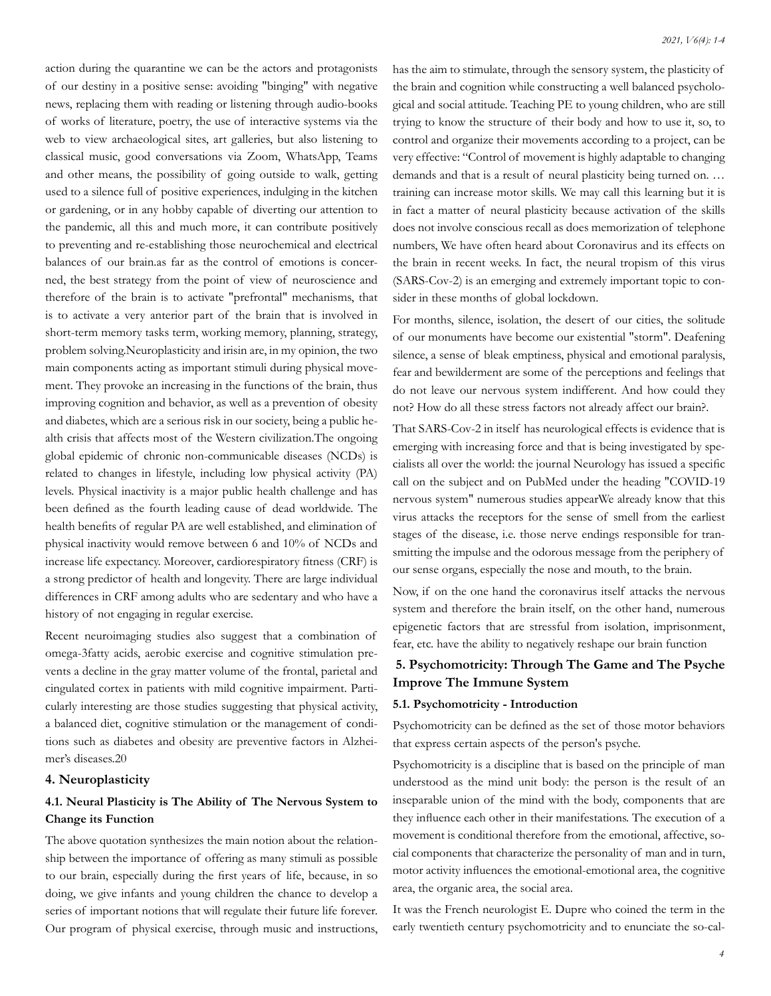action during the quarantine we can be the actors and protagonists of our destiny in a positive sense: avoiding "binging" with negative news, replacing them with reading or listening through audio-books of works of literature, poetry, the use of interactive systems via the web to view archaeological sites, art galleries, but also listening to classical music, good conversations via Zoom, WhatsApp, Teams and other means, the possibility of going outside to walk, getting used to a silence full of positive experiences, indulging in the kitchen or gardening, or in any hobby capable of diverting our attention to the pandemic, all this and much more, it can contribute positively to preventing and re-establishing those neurochemical and electrical balances of our brain.as far as the control of emotions is concerned, the best strategy from the point of view of neuroscience and therefore of the brain is to activate "prefrontal" mechanisms, that is to activate a very anterior part of the brain that is involved in short-term memory tasks term, working memory, planning, strategy, problem solving.Neuroplasticity and irisin are, in my opinion, the two main components acting as important stimuli during physical movement. They provoke an increasing in the functions of the brain, thus improving cognition and behavior, as well as a prevention of obesity and diabetes, which are a serious risk in our society, being a public health crisis that affects most of the Western civilization.The ongoing global epidemic of chronic non-communicable diseases (NCDs) is related to changes in lifestyle, including low physical activity (PA) levels. Physical inactivity is a major public health challenge and has been defined as the fourth leading cause of dead worldwide. The health benefits of regular PA are well established, and elimination of physical inactivity would remove between 6 and 10% of NCDs and increase life expectancy. Moreover, cardiorespiratory fitness (CRF) is a strong predictor of health and longevity. There are large individual differences in CRF among adults who are sedentary and who have a history of not engaging in regular exercise.

Recent neuroimaging studies also suggest that a combination of omega-3fatty acids, aerobic exercise and cognitive stimulation prevents a decline in the gray matter volume of the frontal, parietal and cingulated cortex in patients with mild cognitive impairment. Particularly interesting are those studies suggesting that physical activity, a balanced diet, cognitive stimulation or the management of conditions such as diabetes and obesity are preventive factors in Alzheimer's diseases.20

#### **4. Neuroplasticity**

# **4.1. Neural Plasticity is The Ability of The Nervous System to Change its Function**

The above quotation synthesizes the main notion about the relationship between the importance of offering as many stimuli as possible to our brain, especially during the first years of life, because, in so doing, we give infants and young children the chance to develop a series of important notions that will regulate their future life forever. Our program of physical exercise, through music and instructions,

has the aim to stimulate, through the sensory system, the plasticity of the brain and cognition while constructing a well balanced psychological and social attitude. Teaching PE to young children, who are still trying to know the structure of their body and how to use it, so, to control and organize their movements according to a project, can be very effective: "Control of movement is highly adaptable to changing demands and that is a result of neural plasticity being turned on. … training can increase motor skills. We may call this learning but it is in fact a matter of neural plasticity because activation of the skills does not involve conscious recall as does memorization of telephone numbers, We have often heard about Coronavirus and its effects on the brain in recent weeks. In fact, the neural tropism of this virus (SARS-Cov-2) is an emerging and extremely important topic to consider in these months of global lockdown.

For months, silence, isolation, the desert of our cities, the solitude of our monuments have become our existential "storm". Deafening silence, a sense of bleak emptiness, physical and emotional paralysis, fear and bewilderment are some of the perceptions and feelings that do not leave our nervous system indifferent. And how could they not? How do all these stress factors not already affect our brain?.

That SARS-Cov-2 in itself has neurological effects is evidence that is emerging with increasing force and that is being investigated by specialists all over the world: the journal Neurology has issued a specific call on the subject and on PubMed under the heading "COVID-19 nervous system" numerous studies appearWe already know that this virus attacks the receptors for the sense of smell from the earliest stages of the disease, i.e. those nerve endings responsible for transmitting the impulse and the odorous message from the periphery of our sense organs, especially the nose and mouth, to the brain.

Now, if on the one hand the coronavirus itself attacks the nervous system and therefore the brain itself, on the other hand, numerous epigenetic factors that are stressful from isolation, imprisonment, fear, etc. have the ability to negatively reshape our brain function

# **5. Psychomotricity: Through The Game and The Psyche Improve The Immune System**

# **5.1. Psychomotricity - Introduction**

Psychomotricity can be defined as the set of those motor behaviors that express certain aspects of the person's psyche.

Psychomotricity is a discipline that is based on the principle of man understood as the mind unit body: the person is the result of an inseparable union of the mind with the body, components that are they influence each other in their manifestations. The execution of a movement is conditional therefore from the emotional, affective, social components that characterize the personality of man and in turn, motor activity influences the emotional-emotional area, the cognitive area, the organic area, the social area.

It was the French neurologist E. Dupre who coined the term in the early twentieth century psychomotricity and to enunciate the so-cal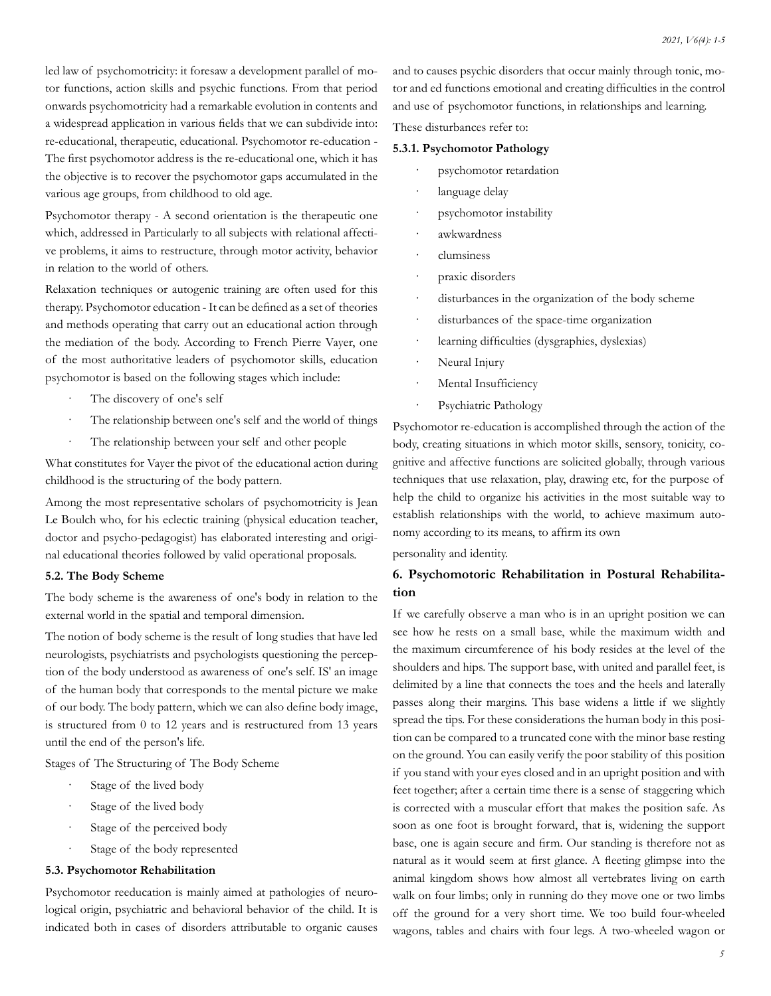led law of psychomotricity: it foresaw a development parallel of motor functions, action skills and psychic functions. From that period onwards psychomotricity had a remarkable evolution in contents and a widespread application in various fields that we can subdivide into: re-educational, therapeutic, educational. Psychomotor re-education - The first psychomotor address is the re-educational one, which it has the objective is to recover the psychomotor gaps accumulated in the various age groups, from childhood to old age.

Psychomotor therapy - A second orientation is the therapeutic one which, addressed in Particularly to all subjects with relational affective problems, it aims to restructure, through motor activity, behavior in relation to the world of others.

Relaxation techniques or autogenic training are often used for this therapy. Psychomotor education - It can be defined as a set of theories and methods operating that carry out an educational action through the mediation of the body. According to French Pierre Vayer, one of the most authoritative leaders of psychomotor skills, education psychomotor is based on the following stages which include:

- The discovery of one's self
- The relationship between one's self and the world of things
- The relationship between your self and other people

What constitutes for Vayer the pivot of the educational action during childhood is the structuring of the body pattern.

Among the most representative scholars of psychomotricity is Jean Le Boulch who, for his eclectic training (physical education teacher, doctor and psycho-pedagogist) has elaborated interesting and original educational theories followed by valid operational proposals.

#### **5.2. The Body Scheme**

The body scheme is the awareness of one's body in relation to the external world in the spatial and temporal dimension.

The notion of body scheme is the result of long studies that have led neurologists, psychiatrists and psychologists questioning the perception of the body understood as awareness of one's self. IS' an image of the human body that corresponds to the mental picture we make of our body. The body pattern, which we can also define body image, is structured from 0 to 12 years and is restructured from 13 years until the end of the person's life.

Stages of The Structuring of The Body Scheme

- Stage of the lived body
- Stage of the lived body
- Stage of the perceived body
- Stage of the body represented

### **5.3. Psychomotor Rehabilitation**

Psychomotor reeducation is mainly aimed at pathologies of neurological origin, psychiatric and behavioral behavior of the child. It is indicated both in cases of disorders attributable to organic causes and to causes psychic disorders that occur mainly through tonic, motor and ed functions emotional and creating difficulties in the control and use of psychomotor functions, in relationships and learning.

These disturbances refer to:

#### **5.3.1. Psychomotor Pathology**

- psychomotor retardation
- language delay
- psychomotor instability
- · awkwardness
- · clumsiness
- praxic disorders
- disturbances in the organization of the body scheme
- disturbances of the space-time organization
- · learning difficulties (dysgraphies, dyslexias)
- Neural Injury
- Mental Insufficiency
- Psychiatric Pathology

Psychomotor re-education is accomplished through the action of the body, creating situations in which motor skills, sensory, tonicity, cognitive and affective functions are solicited globally, through various techniques that use relaxation, play, drawing etc, for the purpose of help the child to organize his activities in the most suitable way to establish relationships with the world, to achieve maximum autonomy according to its means, to affirm its own

personality and identity.

# **6. Psychomotoric Rehabilitation in Postural Rehabilitation**

If we carefully observe a man who is in an upright position we can see how he rests on a small base, while the maximum width and the maximum circumference of his body resides at the level of the shoulders and hips. The support base, with united and parallel feet, is delimited by a line that connects the toes and the heels and laterally passes along their margins. This base widens a little if we slightly spread the tips. For these considerations the human body in this position can be compared to a truncated cone with the minor base resting on the ground. You can easily verify the poor stability of this position if you stand with your eyes closed and in an upright position and with feet together; after a certain time there is a sense of staggering which is corrected with a muscular effort that makes the position safe. As soon as one foot is brought forward, that is, widening the support base, one is again secure and firm. Our standing is therefore not as natural as it would seem at first glance. A fleeting glimpse into the animal kingdom shows how almost all vertebrates living on earth walk on four limbs; only in running do they move one or two limbs off the ground for a very short time. We too build four-wheeled wagons, tables and chairs with four legs. A two-wheeled wagon or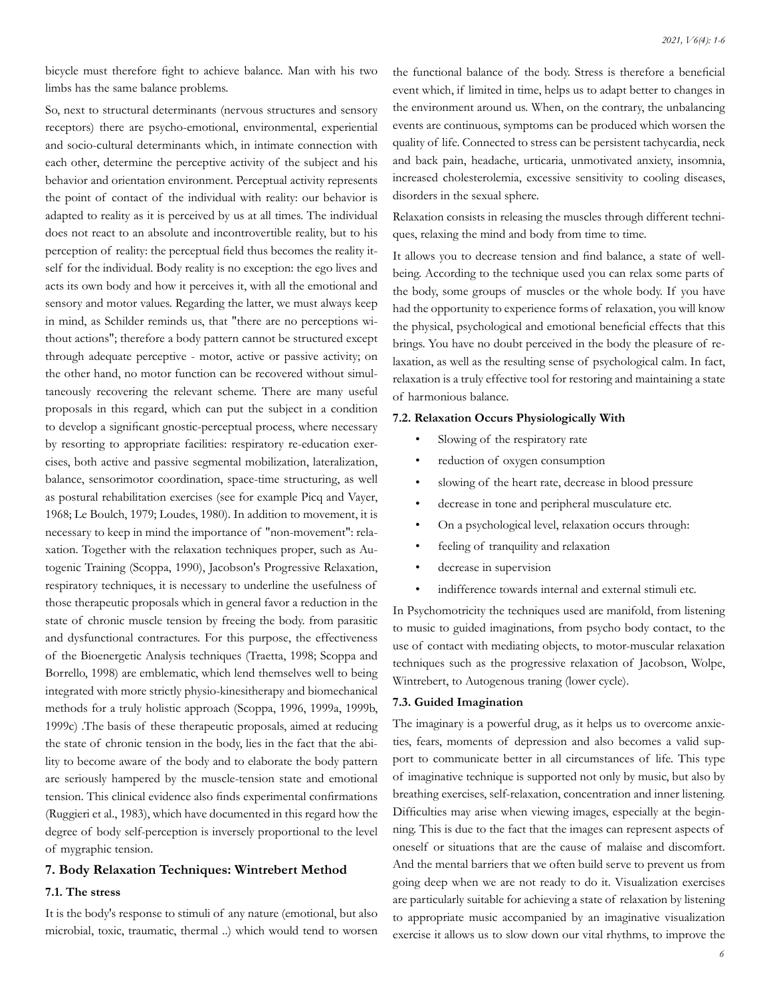bicycle must therefore fight to achieve balance. Man with his two limbs has the same balance problems.

So, next to structural determinants (nervous structures and sensory receptors) there are psycho-emotional, environmental, experiential and socio-cultural determinants which, in intimate connection with each other, determine the perceptive activity of the subject and his behavior and orientation environment. Perceptual activity represents the point of contact of the individual with reality: our behavior is adapted to reality as it is perceived by us at all times. The individual does not react to an absolute and incontrovertible reality, but to his perception of reality: the perceptual field thus becomes the reality itself for the individual. Body reality is no exception: the ego lives and acts its own body and how it perceives it, with all the emotional and sensory and motor values. Regarding the latter, we must always keep in mind, as Schilder reminds us, that "there are no perceptions without actions"; therefore a body pattern cannot be structured except through adequate perceptive - motor, active or passive activity; on the other hand, no motor function can be recovered without simultaneously recovering the relevant scheme. There are many useful proposals in this regard, which can put the subject in a condition to develop a significant gnostic-perceptual process, where necessary by resorting to appropriate facilities: respiratory re-education exercises, both active and passive segmental mobilization, lateralization, balance, sensorimotor coordination, space-time structuring, as well as postural rehabilitation exercises (see for example Picq and Vayer, 1968; Le Boulch, 1979; Loudes, 1980). In addition to movement, it is necessary to keep in mind the importance of "non-movement": relaxation. Together with the relaxation techniques proper, such as Autogenic Training (Scoppa, 1990), Jacobson's Progressive Relaxation, respiratory techniques, it is necessary to underline the usefulness of those therapeutic proposals which in general favor a reduction in the state of chronic muscle tension by freeing the body. from parasitic and dysfunctional contractures. For this purpose, the effectiveness of the Bioenergetic Analysis techniques (Traetta, 1998; Scoppa and Borrello, 1998) are emblematic, which lend themselves well to being integrated with more strictly physio-kinesitherapy and biomechanical methods for a truly holistic approach (Scoppa, 1996, 1999a, 1999b, 1999c) .The basis of these therapeutic proposals, aimed at reducing the state of chronic tension in the body, lies in the fact that the ability to become aware of the body and to elaborate the body pattern are seriously hampered by the muscle-tension state and emotional tension. This clinical evidence also finds experimental confirmations (Ruggieri et al., 1983), which have documented in this regard how the degree of body self-perception is inversely proportional to the level of mygraphic tension.

#### **7. Body Relaxation Techniques: Wintrebert Method**

#### **7.1. The stress**

It is the body's response to stimuli of any nature (emotional, but also microbial, toxic, traumatic, thermal ..) which would tend to worsen the functional balance of the body. Stress is therefore a beneficial event which, if limited in time, helps us to adapt better to changes in the environment around us. When, on the contrary, the unbalancing events are continuous, symptoms can be produced which worsen the quality of life. Connected to stress can be persistent tachycardia, neck and back pain, headache, urticaria, unmotivated anxiety, insomnia, increased cholesterolemia, excessive sensitivity to cooling diseases, disorders in the sexual sphere.

Relaxation consists in releasing the muscles through different techniques, relaxing the mind and body from time to time.

It allows you to decrease tension and find balance, a state of wellbeing. According to the technique used you can relax some parts of the body, some groups of muscles or the whole body. If you have had the opportunity to experience forms of relaxation, you will know the physical, psychological and emotional beneficial effects that this brings. You have no doubt perceived in the body the pleasure of relaxation, as well as the resulting sense of psychological calm. In fact, relaxation is a truly effective tool for restoring and maintaining a state of harmonious balance.

#### **7.2. Relaxation Occurs Physiologically With**

- Slowing of the respiratory rate
- reduction of oxygen consumption
- slowing of the heart rate, decrease in blood pressure
- decrease in tone and peripheral musculature etc.
- On a psychological level, relaxation occurs through:
- feeling of tranquility and relaxation
- decrease in supervision
- indifference towards internal and external stimuli etc.

In Psychomotricity the techniques used are manifold, from listening to music to guided imaginations, from psycho body contact, to the use of contact with mediating objects, to motor-muscular relaxation techniques such as the progressive relaxation of Jacobson, Wolpe, Wintrebert, to Autogenous traning (lower cycle).

#### **7.3. Guided Imagination**

The imaginary is a powerful drug, as it helps us to overcome anxieties, fears, moments of depression and also becomes a valid support to communicate better in all circumstances of life. This type of imaginative technique is supported not only by music, but also by breathing exercises, self-relaxation, concentration and inner listening. Difficulties may arise when viewing images, especially at the beginning. This is due to the fact that the images can represent aspects of oneself or situations that are the cause of malaise and discomfort. And the mental barriers that we often build serve to prevent us from going deep when we are not ready to do it. Visualization exercises are particularly suitable for achieving a state of relaxation by listening to appropriate music accompanied by an imaginative visualization exercise it allows us to slow down our vital rhythms, to improve the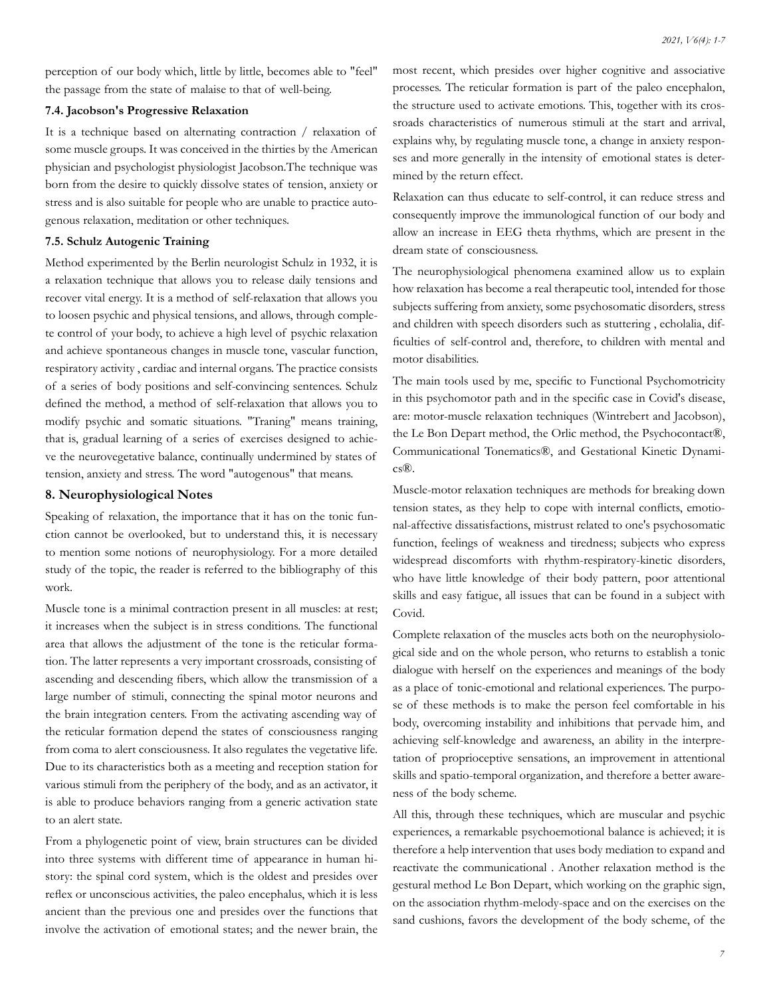perception of our body which, little by little, becomes able to "feel" the passage from the state of malaise to that of well-being.

# **7.4. Jacobson's Progressive Relaxation**

It is a technique based on alternating contraction / relaxation of some muscle groups. It was conceived in the thirties by the American physician and psychologist physiologist Jacobson.The technique was born from the desire to quickly dissolve states of tension, anxiety or stress and is also suitable for people who are unable to practice autogenous relaxation, meditation or other techniques.

#### **7.5. Schulz Autogenic Training**

Method experimented by the Berlin neurologist Schulz in 1932, it is a relaxation technique that allows you to release daily tensions and recover vital energy. It is a method of self-relaxation that allows you to loosen psychic and physical tensions, and allows, through complete control of your body, to achieve a high level of psychic relaxation and achieve spontaneous changes in muscle tone, vascular function, respiratory activity , cardiac and internal organs. The practice consists of a series of body positions and self-convincing sentences. Schulz defined the method, a method of self-relaxation that allows you to modify psychic and somatic situations. "Traning" means training, that is, gradual learning of a series of exercises designed to achieve the neurovegetative balance, continually undermined by states of tension, anxiety and stress. The word "autogenous" that means.

#### **8. Neurophysiological Notes**

Speaking of relaxation, the importance that it has on the tonic function cannot be overlooked, but to understand this, it is necessary to mention some notions of neurophysiology. For a more detailed study of the topic, the reader is referred to the bibliography of this work.

Muscle tone is a minimal contraction present in all muscles: at rest; it increases when the subject is in stress conditions. The functional area that allows the adjustment of the tone is the reticular formation. The latter represents a very important crossroads, consisting of ascending and descending fibers, which allow the transmission of a large number of stimuli, connecting the spinal motor neurons and the brain integration centers. From the activating ascending way of the reticular formation depend the states of consciousness ranging from coma to alert consciousness. It also regulates the vegetative life. Due to its characteristics both as a meeting and reception station for various stimuli from the periphery of the body, and as an activator, it is able to produce behaviors ranging from a generic activation state to an alert state.

From a phylogenetic point of view, brain structures can be divided into three systems with different time of appearance in human history: the spinal cord system, which is the oldest and presides over reflex or unconscious activities, the paleo encephalus, which it is less ancient than the previous one and presides over the functions that involve the activation of emotional states; and the newer brain, the most recent, which presides over higher cognitive and associative processes. The reticular formation is part of the paleo encephalon, the structure used to activate emotions. This, together with its crossroads characteristics of numerous stimuli at the start and arrival, explains why, by regulating muscle tone, a change in anxiety responses and more generally in the intensity of emotional states is determined by the return effect.

Relaxation can thus educate to self-control, it can reduce stress and consequently improve the immunological function of our body and allow an increase in EEG theta rhythms, which are present in the dream state of consciousness.

The neurophysiological phenomena examined allow us to explain how relaxation has become a real therapeutic tool, intended for those subjects suffering from anxiety, some psychosomatic disorders, stress and children with speech disorders such as stuttering , echolalia, difficulties of self-control and, therefore, to children with mental and motor disabilities.

The main tools used by me, specific to Functional Psychomotricity in this psychomotor path and in the specific case in Covid's disease, are: motor-muscle relaxation techniques (Wintrebert and Jacobson), the Le Bon Depart method, the Orlic method, the Psychocontact®, Communicational Tonematics®, and Gestational Kinetic Dynamics®.

Muscle-motor relaxation techniques are methods for breaking down tension states, as they help to cope with internal conflicts, emotional-affective dissatisfactions, mistrust related to one's psychosomatic function, feelings of weakness and tiredness; subjects who express widespread discomforts with rhythm-respiratory-kinetic disorders, who have little knowledge of their body pattern, poor attentional skills and easy fatigue, all issues that can be found in a subject with Covid.

Complete relaxation of the muscles acts both on the neurophysiological side and on the whole person, who returns to establish a tonic dialogue with herself on the experiences and meanings of the body as a place of tonic-emotional and relational experiences. The purpose of these methods is to make the person feel comfortable in his body, overcoming instability and inhibitions that pervade him, and achieving self-knowledge and awareness, an ability in the interpretation of proprioceptive sensations, an improvement in attentional skills and spatio-temporal organization, and therefore a better awareness of the body scheme.

All this, through these techniques, which are muscular and psychic experiences, a remarkable psychoemotional balance is achieved; it is therefore a help intervention that uses body mediation to expand and reactivate the communicational . Another relaxation method is the gestural method Le Bon Depart, which working on the graphic sign, on the association rhythm-melody-space and on the exercises on the sand cushions, favors the development of the body scheme, of the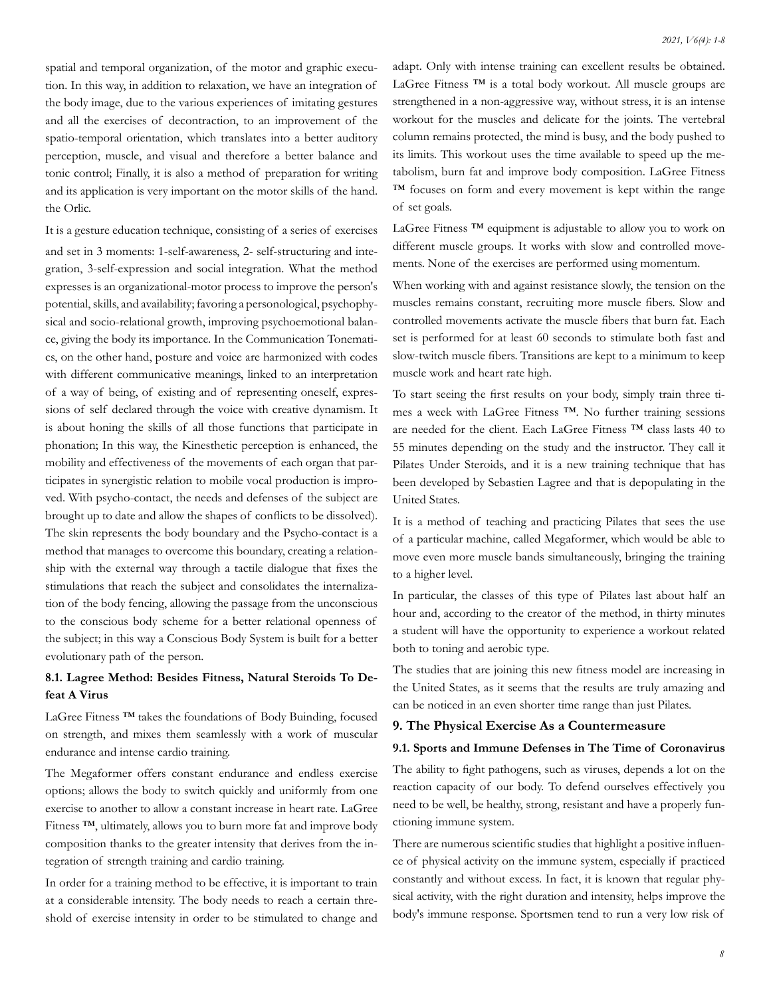spatial and temporal organization, of the motor and graphic execution. In this way, in addition to relaxation, we have an integration of the body image, due to the various experiences of imitating gestures and all the exercises of decontraction, to an improvement of the spatio-temporal orientation, which translates into a better auditory perception, muscle, and visual and therefore a better balance and tonic control; Finally, it is also a method of preparation for writing and its application is very important on the motor skills of the hand. the Orlic.

It is a gesture education technique, consisting of a series of exercises and set in 3 moments: 1-self-awareness, 2- self-structuring and integration, 3-self-expression and social integration. What the method expresses is an organizational-motor process to improve the person's potential, skills, and availability; favoring a personological, psychophysical and socio-relational growth, improving psychoemotional balance, giving the body its importance. In the Communication Tonematics, on the other hand, posture and voice are harmonized with codes with different communicative meanings, linked to an interpretation of a way of being, of existing and of representing oneself, expressions of self declared through the voice with creative dynamism. It is about honing the skills of all those functions that participate in phonation; In this way, the Kinesthetic perception is enhanced, the mobility and effectiveness of the movements of each organ that participates in synergistic relation to mobile vocal production is improved. With psycho-contact, the needs and defenses of the subject are brought up to date and allow the shapes of conflicts to be dissolved). The skin represents the body boundary and the Psycho-contact is a method that manages to overcome this boundary, creating a relationship with the external way through a tactile dialogue that fixes the stimulations that reach the subject and consolidates the internalization of the body fencing, allowing the passage from the unconscious to the conscious body scheme for a better relational openness of the subject; in this way a Conscious Body System is built for a better evolutionary path of the person.

# **8.1. Lagree Method: Besides Fitness, Natural Steroids To Defeat A Virus**

LaGree Fitness ™ takes the foundations of Body Buinding, focused on strength, and mixes them seamlessly with a work of muscular endurance and intense cardio training.

The Megaformer offers constant endurance and endless exercise options; allows the body to switch quickly and uniformly from one exercise to another to allow a constant increase in heart rate. LaGree Fitness ™, ultimately, allows you to burn more fat and improve body composition thanks to the greater intensity that derives from the integration of strength training and cardio training.

In order for a training method to be effective, it is important to train at a considerable intensity. The body needs to reach a certain threshold of exercise intensity in order to be stimulated to change and adapt. Only with intense training can excellent results be obtained. LaGree Fitness ™ is a total body workout. All muscle groups are strengthened in a non-aggressive way, without stress, it is an intense workout for the muscles and delicate for the joints. The vertebral column remains protected, the mind is busy, and the body pushed to its limits. This workout uses the time available to speed up the metabolism, burn fat and improve body composition. LaGree Fitness ™ focuses on form and every movement is kept within the range of set goals.

LaGree Fitness <sup>™</sup> equipment is adjustable to allow you to work on different muscle groups. It works with slow and controlled movements. None of the exercises are performed using momentum.

When working with and against resistance slowly, the tension on the muscles remains constant, recruiting more muscle fibers. Slow and controlled movements activate the muscle fibers that burn fat. Each set is performed for at least 60 seconds to stimulate both fast and slow-twitch muscle fibers. Transitions are kept to a minimum to keep muscle work and heart rate high.

To start seeing the first results on your body, simply train three times a week with LaGree Fitness ™. No further training sessions are needed for the client. Each LaGree Fitness ™ class lasts 40 to 55 minutes depending on the study and the instructor. They call it Pilates Under Steroids, and it is a new training technique that has been developed by Sebastien Lagree and that is depopulating in the United States.

It is a method of teaching and practicing Pilates that sees the use of a particular machine, called Megaformer, which would be able to move even more muscle bands simultaneously, bringing the training to a higher level.

In particular, the classes of this type of Pilates last about half an hour and, according to the creator of the method, in thirty minutes a student will have the opportunity to experience a workout related both to toning and aerobic type.

The studies that are joining this new fitness model are increasing in the United States, as it seems that the results are truly amazing and can be noticed in an even shorter time range than just Pilates.

## **9. The Physical Exercise As a Countermeasure**

#### **9.1. Sports and Immune Defenses in The Time of Coronavirus**

The ability to fight pathogens, such as viruses, depends a lot on the reaction capacity of our body. To defend ourselves effectively you need to be well, be healthy, strong, resistant and have a properly functioning immune system.

There are numerous scientific studies that highlight a positive influence of physical activity on the immune system, especially if practiced constantly and without excess. In fact, it is known that regular physical activity, with the right duration and intensity, helps improve the body's immune response. Sportsmen tend to run a very low risk of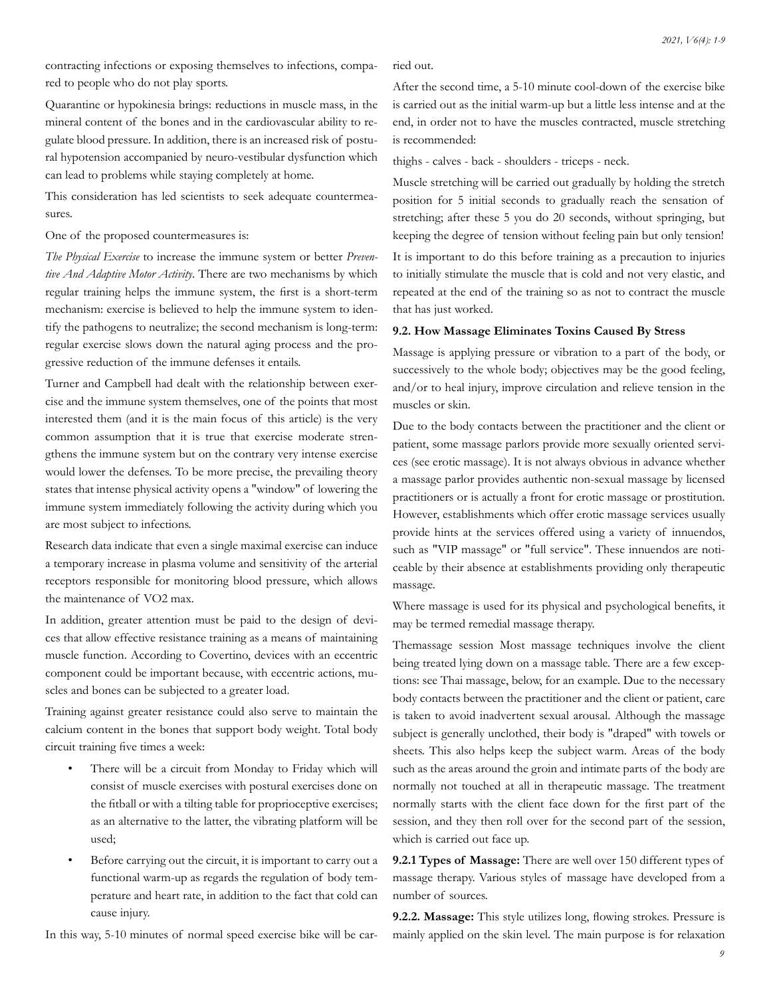contracting infections or exposing themselves to infections, compared to people who do not play sports.

Quarantine or hypokinesia brings: reductions in muscle mass, in the mineral content of the bones and in the cardiovascular ability to regulate blood pressure. In addition, there is an increased risk of postural hypotension accompanied by neuro-vestibular dysfunction which can lead to problems while staying completely at home.

This consideration has led scientists to seek adequate countermeasures.

One of the proposed countermeasures is:

*The Physical Exercise* to increase the immune system or better *Preventive And Adaptive Motor Activity*. There are two mechanisms by which regular training helps the immune system, the first is a short-term mechanism: exercise is believed to help the immune system to identify the pathogens to neutralize; the second mechanism is long-term: regular exercise slows down the natural aging process and the progressive reduction of the immune defenses it entails.

Turner and Campbell had dealt with the relationship between exercise and the immune system themselves, one of the points that most interested them (and it is the main focus of this article) is the very common assumption that it is true that exercise moderate strengthens the immune system but on the contrary very intense exercise would lower the defenses. To be more precise, the prevailing theory states that intense physical activity opens a "window" of lowering the immune system immediately following the activity during which you are most subject to infections.

Research data indicate that even a single maximal exercise can induce a temporary increase in plasma volume and sensitivity of the arterial receptors responsible for monitoring blood pressure, which allows the maintenance of VO2 max.

In addition, greater attention must be paid to the design of devices that allow effective resistance training as a means of maintaining muscle function. According to Covertino, devices with an eccentric component could be important because, with eccentric actions, muscles and bones can be subjected to a greater load.

Training against greater resistance could also serve to maintain the calcium content in the bones that support body weight. Total body circuit training five times a week:

- There will be a circuit from Monday to Friday which will consist of muscle exercises with postural exercises done on the fitball or with a tilting table for proprioceptive exercises; as an alternative to the latter, the vibrating platform will be used;
- Before carrying out the circuit, it is important to carry out a functional warm-up as regards the regulation of body temperature and heart rate, in addition to the fact that cold can cause injury.

In this way, 5-10 minutes of normal speed exercise bike will be car-

ried out.

After the second time, a 5-10 minute cool-down of the exercise bike is carried out as the initial warm-up but a little less intense and at the end, in order not to have the muscles contracted, muscle stretching is recommended:

thighs - calves - back - shoulders - triceps - neck.

Muscle stretching will be carried out gradually by holding the stretch position for 5 initial seconds to gradually reach the sensation of stretching; after these 5 you do 20 seconds, without springing, but keeping the degree of tension without feeling pain but only tension! It is important to do this before training as a precaution to injuries to initially stimulate the muscle that is cold and not very elastic, and repeated at the end of the training so as not to contract the muscle that has just worked.

#### **9.2. How Massage Eliminates Toxins Caused By Stress**

Massage is applying pressure or vibration to a part of the body, or successively to the whole body; objectives may be the good feeling, and/or to heal injury, improve circulation and relieve tension in the muscles or skin.

Due to the body contacts between the practitioner and the client or patient, some massage parlors provide more sexually oriented services (see erotic massage). It is not always obvious in advance whether a massage parlor provides authentic non-sexual massage by licensed practitioners or is actually a front for erotic massage or prostitution. However, establishments which offer erotic massage services usually provide hints at the services offered using a variety of innuendos, such as "VIP massage" or "full service". These innuendos are noticeable by their absence at establishments providing only therapeutic massage.

Where massage is used for its physical and psychological benefits, it may be termed remedial massage therapy.

Themassage session Most massage techniques involve the client being treated lying down on a massage table. There are a few exceptions: see Thai massage, below, for an example. Due to the necessary body contacts between the practitioner and the client or patient, care is taken to avoid inadvertent sexual arousal. Although the massage subject is generally unclothed, their body is "draped" with towels or sheets. This also helps keep the subject warm. Areas of the body such as the areas around the groin and intimate parts of the body are normally not touched at all in therapeutic massage. The treatment normally starts with the client face down for the first part of the session, and they then roll over for the second part of the session, which is carried out face up.

**9.2.1 Types of Massage:** There are well over 150 different types of massage therapy. Various styles of massage have developed from a number of sources.

**9.2.2. Massage:** This style utilizes long, flowing strokes. Pressure is mainly applied on the skin level. The main purpose is for relaxation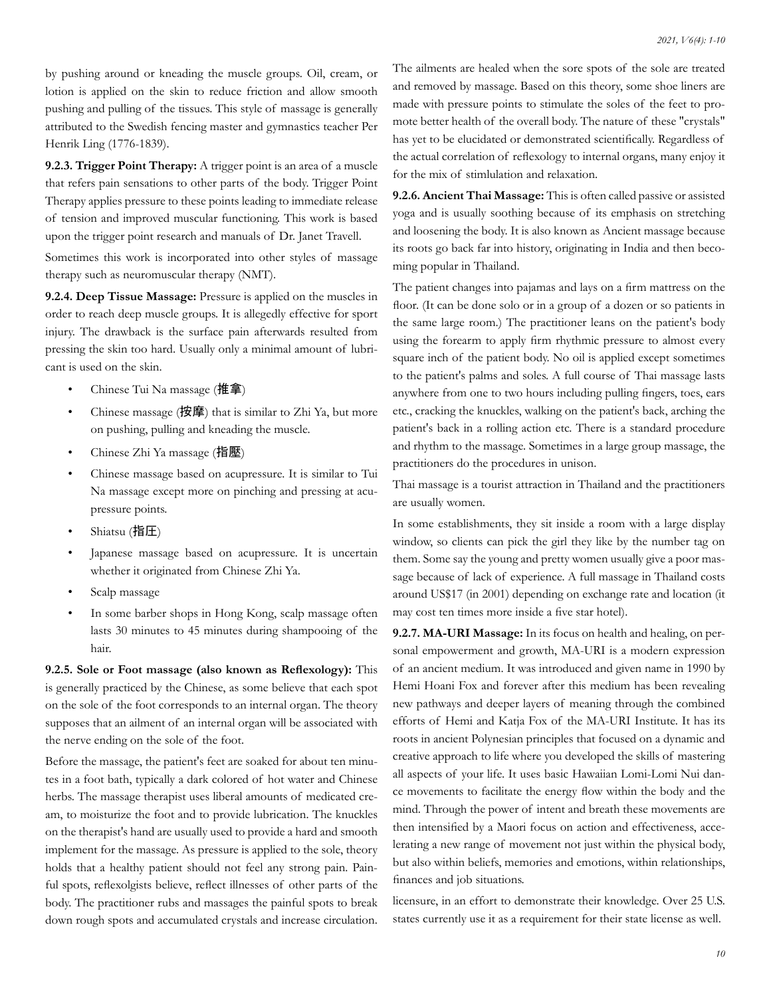by pushing around or kneading the muscle groups. Oil, cream, or lotion is applied on the skin to reduce friction and allow smooth pushing and pulling of the tissues. This style of massage is generally attributed to the Swedish fencing master and gymnastics teacher Per Henrik Ling (1776-1839).

**9.2.3. Trigger Point Therapy:** A trigger point is an area of a muscle that refers pain sensations to other parts of the body. Trigger Point Therapy applies pressure to these points leading to immediate release of tension and improved muscular functioning. This work is based upon the trigger point research and manuals of Dr. Janet Travell.

Sometimes this work is incorporated into other styles of massage therapy such as neuromuscular therapy (NMT).

**9.2.4. Deep Tissue Massage:** Pressure is applied on the muscles in order to reach deep muscle groups. It is allegedly effective for sport injury. The drawback is the surface pain afterwards resulted from pressing the skin too hard. Usually only a minimal amount of lubricant is used on the skin.

- Chinese Tui Na massage (推拿)
- Chinese massage (按摩) that is similar to Zhi Ya, but more on pushing, pulling and kneading the muscle.
- Chinese Zhi Ya massage (指壓)
- Chinese massage based on acupressure. It is similar to Tui Na massage except more on pinching and pressing at acupressure points.
- Shiatsu (指圧)
- Japanese massage based on acupressure. It is uncertain whether it originated from Chinese Zhi Ya.
- Scalp massage
- In some barber shops in Hong Kong, scalp massage often lasts 30 minutes to 45 minutes during shampooing of the hair.

**9.2.5. Sole or Foot massage (also known as Reflexology):** This is generally practiced by the Chinese, as some believe that each spot on the sole of the foot corresponds to an internal organ. The theory supposes that an ailment of an internal organ will be associated with the nerve ending on the sole of the foot.

Before the massage, the patient's feet are soaked for about ten minutes in a foot bath, typically a dark colored of hot water and Chinese herbs. The massage therapist uses liberal amounts of medicated cream, to moisturize the foot and to provide lubrication. The knuckles on the therapist's hand are usually used to provide a hard and smooth implement for the massage. As pressure is applied to the sole, theory holds that a healthy patient should not feel any strong pain. Painful spots, reflexolgists believe, reflect illnesses of other parts of the body. The practitioner rubs and massages the painful spots to break down rough spots and accumulated crystals and increase circulation.

The ailments are healed when the sore spots of the sole are treated and removed by massage. Based on this theory, some shoe liners are made with pressure points to stimulate the soles of the feet to promote better health of the overall body. The nature of these "crystals" has yet to be elucidated or demonstrated scientifically. Regardless of the actual correlation of reflexology to internal organs, many enjoy it for the mix of stimlulation and relaxation.

**9.2.6. Ancient Thai Massage:** This is often called passive or assisted yoga and is usually soothing because of its emphasis on stretching and loosening the body. It is also known as Ancient massage because its roots go back far into history, originating in India and then becoming popular in Thailand.

The patient changes into pajamas and lays on a firm mattress on the floor. (It can be done solo or in a group of a dozen or so patients in the same large room.) The practitioner leans on the patient's body using the forearm to apply firm rhythmic pressure to almost every square inch of the patient body. No oil is applied except sometimes to the patient's palms and soles. A full course of Thai massage lasts anywhere from one to two hours including pulling fingers, toes, ears etc., cracking the knuckles, walking on the patient's back, arching the patient's back in a rolling action etc. There is a standard procedure and rhythm to the massage. Sometimes in a large group massage, the practitioners do the procedures in unison.

Thai massage is a tourist attraction in Thailand and the practitioners are usually women.

In some establishments, they sit inside a room with a large display window, so clients can pick the girl they like by the number tag on them. Some say the young and pretty women usually give a poor massage because of lack of experience. A full massage in Thailand costs around US\$17 (in 2001) depending on exchange rate and location (it may cost ten times more inside a five star hotel).

**9.2.7. MA-URI Massage:** In its focus on health and healing, on personal empowerment and growth, MA-URI is a modern expression of an ancient medium. It was introduced and given name in 1990 by Hemi Hoani Fox and forever after this medium has been revealing new pathways and deeper layers of meaning through the combined efforts of Hemi and Katja Fox of the MA-URI Institute. It has its roots in ancient Polynesian principles that focused on a dynamic and creative approach to life where you developed the skills of mastering all aspects of your life. It uses basic Hawaiian Lomi-Lomi Nui dance movements to facilitate the energy flow within the body and the mind. Through the power of intent and breath these movements are then intensified by a Maori focus on action and effectiveness, accelerating a new range of movement not just within the physical body, but also within beliefs, memories and emotions, within relationships, finances and job situations.

licensure, in an effort to demonstrate their knowledge. Over 25 U.S. states currently use it as a requirement for their state license as well.